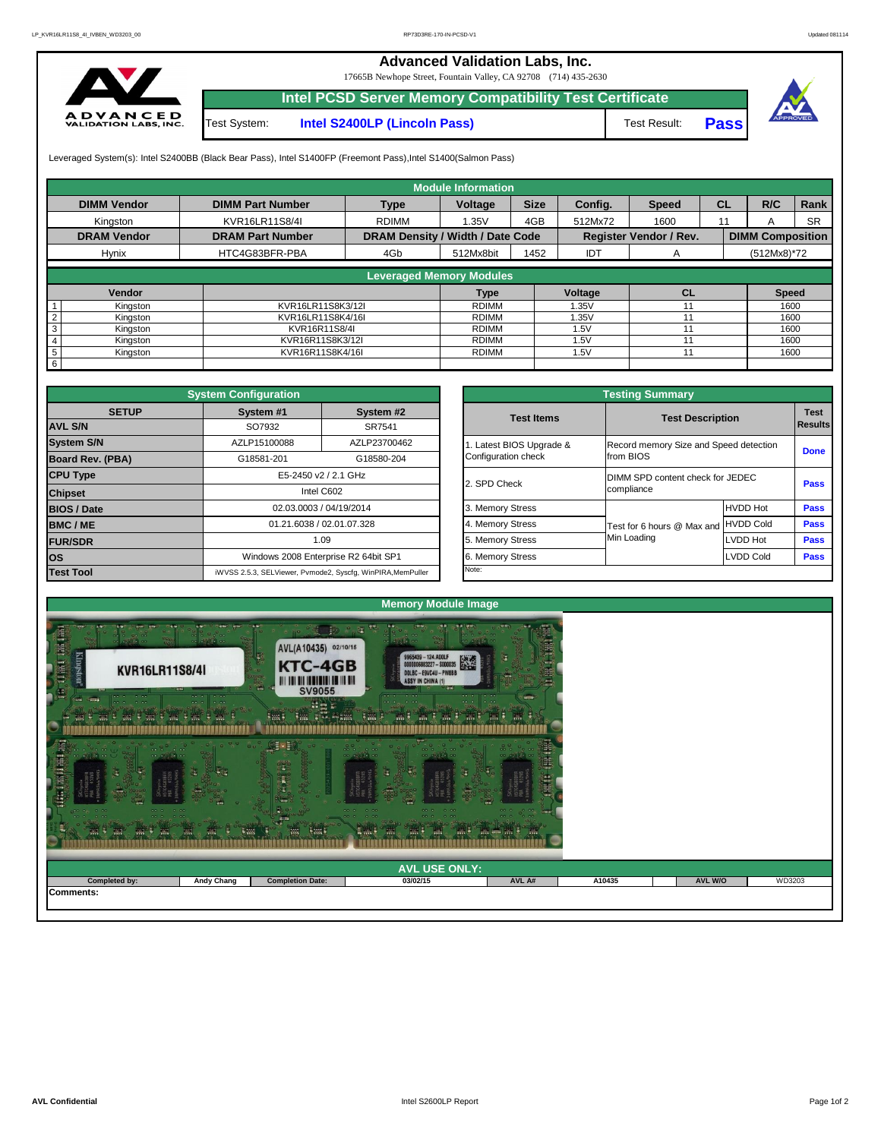

## **Advanced Validation Labs, Inc.**

17665B Newhope Street, Fountain Valley, CA 92708 (714) 435-2630



**Intel PCSD Server Memory Compatibility Test Certificate**

|                             |                         |                                         | <b>Module Information</b>       |             |            |                               |           |                         |           |
|-----------------------------|-------------------------|-----------------------------------------|---------------------------------|-------------|------------|-------------------------------|-----------|-------------------------|-----------|
| <b>DIMM Vendor</b>          | <b>DIMM Part Number</b> | <b>Type</b>                             | <b>Voltage</b>                  | <b>Size</b> | Config.    | <b>Speed</b>                  | <b>CL</b> | R/C                     | Rank      |
| Kingston                    | KVR16LR11S8/4I          | <b>RDIMM</b>                            | 1.35V                           | 4GB         | 512Mx72    | 1600                          | 11        | A                       | <b>SR</b> |
| <b>DRAM Vendor</b>          | <b>DRAM Part Number</b> | <b>DRAM Density / Width / Date Code</b> |                                 |             |            | <b>Register Vendor / Rev.</b> |           | <b>DIMM Composition</b> |           |
| <b>Hynix</b>                | HTC4G83BFR-PBA          | 4Gb                                     | 512Mx8bit                       | 1452        | <b>IDT</b> | A                             |           | $(512Mx8)*72$           |           |
|                             |                         |                                         | <b>Leveraged Memory Modules</b> |             |            |                               |           |                         |           |
|                             |                         |                                         |                                 |             |            |                               |           |                         |           |
| <b>Vendor</b>               |                         |                                         | <b>Type</b>                     |             | Voltage    | CL                            |           | <b>Speed</b>            |           |
| Kingston                    | KVR16LR11S8K3/12I       |                                         | <b>RDIMM</b>                    |             | 1.35V      | 11                            |           | 1600                    |           |
| Kingston                    | KVR16LR11S8K4/16I       |                                         | <b>RDIMM</b>                    |             | 1.35V      | 11                            |           | 1600                    |           |
| Kingston                    | KVR16R11S8/4I           |                                         | <b>RDIMM</b>                    |             | 1.5V       |                               |           | 1600                    |           |
| Kingston<br>4               | KVR16R11S8K3/12I        |                                         | <b>RDIMM</b>                    |             |            |                               |           | 1600                    |           |
| Kingston<br>$5\phantom{.0}$ | KVR16R11S8K4/16I        |                                         | <b>RDIMM</b>                    |             | 1.5V       | 11                            |           | 1600                    |           |
| 6                           |                         |                                         |                                 |             |            |                               |           |                         |           |

Test System: **Intel S2400LP (Lincoln Pass)** Test Result: **Pass**



Leveraged System(s): Intel S2400BB (Black Bear Pass), Intel S1400FP (Freemont Pass), Intel S1400(Salmon Pass)

|                      |                          | <b>Testing Summary</b>                         |                  |                               |
|----------------------|--------------------------|------------------------------------------------|------------------|-------------------------------|
| System #2<br>SR7541  | <b>Test Items</b>        | <b>Test Description</b>                        |                  | <b>Test</b><br><b>Results</b> |
| ZLP23700462          | 1. Latest BIOS Upgrade & | Record memory Size and Speed detection         |                  |                               |
| G18580-204           | Configuration check      | from BIOS                                      |                  | <b>Done</b>                   |
| ٦z.                  | 2. SPD Check             | DIMM SPD content check for JEDEC<br>compliance |                  | <b>Pass</b>                   |
| 014                  | 3. Memory Stress         |                                                | <b>HVDD Hot</b>  | <b>Pass</b>                   |
| .328                 | 4. Memory Stress         | Test for 6 hours @ Max and                     | <b>HVDD Cold</b> | <b>Pass</b>                   |
|                      | 5. Memory Stress         | Min Loading                                    | LVDD Hot         | <b>Pass</b>                   |
| 2 64bit SP1          | 6. Memory Stress         |                                                | <b>LVDD Cold</b> | <b>Pass</b>                   |
| , WinPIRA, MemPuller | Note:                    |                                                |                  |                               |

|                                         | <b>System Configuration</b>                                                                              |                                                             |                                        | <b>Testing Summary</b>           |                            |                  |             |  |  |  |  |  |
|-----------------------------------------|----------------------------------------------------------------------------------------------------------|-------------------------------------------------------------|----------------------------------------|----------------------------------|----------------------------|------------------|-------------|--|--|--|--|--|
| <b>SETUP</b>                            | System #1                                                                                                | System #2                                                   |                                        | <b>Test Items</b>                | <b>Test Description</b>    |                  | <b>Test</b> |  |  |  |  |  |
| <b>AVL S/N</b>                          | SO7932<br>SR7541                                                                                         |                                                             |                                        |                                  |                            |                  |             |  |  |  |  |  |
| <b>System S/N</b>                       | AZLP23700462<br>AZLP15100088<br>Latest BIOS Upgrade &<br>Configuration check<br>G18581-201<br>G18580-204 |                                                             | Record memory Size and Speed detection |                                  |                            |                  |             |  |  |  |  |  |
| <b>Board Rev. (PBA)</b>                 |                                                                                                          |                                                             |                                        | from BIOS                        |                            | <b>Done</b>      |             |  |  |  |  |  |
| <b>CPU Type</b><br>E5-2450 v2 / 2.1 GHz |                                                                                                          |                                                             | 2. SPD Check                           | DIMM SPD content check for JEDEC |                            |                  |             |  |  |  |  |  |
| <b>Chipset</b>                          |                                                                                                          | Intel C602                                                  |                                        |                                  | compliance                 | <b>Pass</b>      |             |  |  |  |  |  |
| <b>BIOS / Date</b>                      |                                                                                                          | 02.03.0003 / 04/19/2014                                     |                                        | 3. Memory Stress                 |                            | <b>HVDD Hot</b>  | <b>Pass</b> |  |  |  |  |  |
| <b>BMC/ME</b>                           | 01.21.6038 / 02.01.07.328<br>1.09                                                                        |                                                             |                                        | 4. Memory Stress                 | Test for 6 hours @ Max and | <b>HVDD Cold</b> | <b>Pass</b> |  |  |  |  |  |
| <b>FUR/SDR</b>                          |                                                                                                          |                                                             |                                        | 5. Memory Stress                 | Min Loading                | <b>LVDD Hot</b>  | <b>Pass</b> |  |  |  |  |  |
| <b>los</b>                              |                                                                                                          | Windows 2008 Enterprise R2 64bit SP1                        |                                        | 6. Memory Stress                 |                            | <b>Pass</b>      |             |  |  |  |  |  |
| <b>Test Tool</b>                        |                                                                                                          | iWVSS 2.5.3, SELViewer, Pvmode2, Syscfg, WinPIRA, MemPuller |                                        | Note:                            |                            |                  |             |  |  |  |  |  |



| $\sim$ $\sim$<br>$\begin{array}{ccc}\n\bullet & \bullet & \bullet \\ \end{array}$<br>$\cdots$<br>- 98<br>-42<br>W. | $   -$<br><b>William</b><br>₩<br>$\frac{1}{2}$ | $+30.77$<br>$\overline{\phantom{a}}$ | $\bullet$ $\bullet$<br>m <sub>1</sub><br><b>Limits</b><br>W<br>m.<br>aves. | $\sim$ $\sim$ |        |         |        |
|--------------------------------------------------------------------------------------------------------------------|------------------------------------------------|--------------------------------------|----------------------------------------------------------------------------|---------------|--------|---------|--------|
|                                                                                                                    |                                                |                                      | <b>AVL USE ONLY:</b>                                                       |               |        |         |        |
| <b>Completed by:</b>                                                                                               | <b>Andy Chang</b>                              | <b>Completion Date:</b>              | 03/02/15                                                                   | AVL A#        | A10435 | AVL W/O | WD3203 |
| Comments:                                                                                                          |                                                |                                      |                                                                            |               |        |         |        |